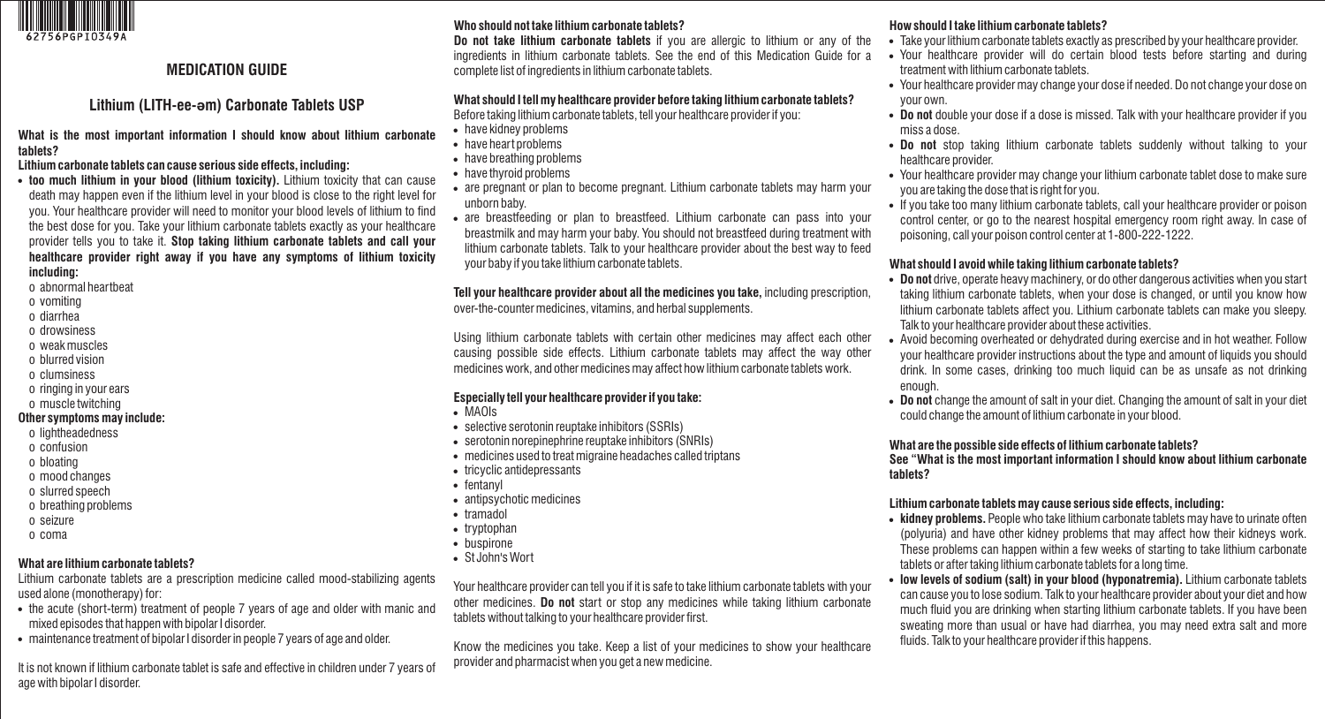

# **MEDICATION GUIDE**

# **Lithium (LITH-ee-əm) Carbonate Tablets USP**

**What is the most important information I should know about lithium carbonate tablets?**

#### **Lithium carbonate tablets can cause serious side effects, including:**

- **too much lithium in your blood (lithium toxicity).** Lithium toxicity that can cause death may happen even if the lithium level in your blood is close to the right level for you. Your healthcare provider will need to monitor your blood levels of lithium to find the best dose for you. Take your lithium carbonate tablets exactly as your healthcare provider tells you to take it. **Stop taking lithium carbonate tablets and call your healthcare provider right away if you have any symptoms of lithium toxicity including:**
- o abnormal heartbeat
- o vomiting
- o diarrhea
- o drowsiness
- o weak muscles
- o blurred vision
- o clumsiness
- o ringing in your ears
- o muscle twitching

#### **Other symptoms may include:**

- o lightheadedness
- o confusion
- o bloating
- o mood changes
- o slurred speech
- o breathing problems
- o seizure
- o coma

# **What are lithium carbonate tablets?**

Lithium carbonate tablets are a prescription medicine called mood-stabilizing agents used alone (monotherapy) for:

- the acute (short-term) treatment of people 7 years of age and older with manic and mixed episodes that happen with bipolar I disorder.
- ! maintenance treatment of bipolar I disorder in people 7 years of age and older.

It is not known if lithium carbonate tablet is safe and effective in children under 7 years of age with bipolar I disorder.

# **Who should not take lithium carbonate tablets?**

**Do not take lithium carbonate tablets** if you are allergic to lithium or any of the ingredients in lithium carbonate tablets. See the end of this Medication Guide for a complete list of ingredients in lithium carbonate tablets.

# **What should I tell my healthcare provider before taking lithium carbonate tablets?**

Before taking lithium carbonate tablets, tell your healthcare provider if you:

- have kidney problems
- have heart problems
- have breathing problems
- have thyroid problems
- are pregnant or plan to become pregnant. Lithium carbonate tablets may harm your unborn baby.
- are breastfeeding or plan to breastfeed. Lithium carbonate can pass into your breastmilk and may harm your baby. You should not breastfeed during treatment with lithium carbonate tablets. Talk to your healthcare provider about the best way to feed your baby if you take lithium carbonate tablets.

#### **Tell your healthcare provider about all the medicines you take,** including prescription, over-the-counter medicines, vitamins, and herbal supplements.

Using lithium carbonate tablets with certain other medicines may affect each other causing possible side effects. Lithium carbonate tablets may affect the way other medicines work, and other medicines may affect how lithium carbonate tablets work.

### **Especially tell your healthcare provider if you take:**

- ! MAOIs
- selective serotonin reuptake inhibitors (SSRIs)
- . serotonin norepinephrine reuptake inhibitors (SNRIs)
- medicines used to treat migraine headaches called triptans
- tricyclic antidepressants
- fentanyl
- antipsychotic medicines
- tramadol
- tryptophan
- buspirone
- St John's Wort

Your healthcare provider can tell you if it is safe to take lithium carbonate tablets with your other medicines. **Do not** start or stop any medicines while taking lithium carbonate tablets without talking to your healthcare provider first.

Know the medicines you take. Keep a list of your medicines to show your healthcare provider and pharmacist when you get a new medicine.

### **How should I take lithium carbonate tablets?**

- . Take your lithium carbonate tablets exactly as prescribed by your healthcare provider.
- ! Your healthcare provider will do certain blood tests before starting and during treatment with lithium carbonate tablets.
- ! Your healthcare provider may change your dose if needed. Do not change your dose on your own.
- ! **Do not** double your dose if a dose is missed. Talk with your healthcare provider if you miss a dose.
- ! **Do not** stop taking lithium carbonate tablets suddenly without talking to your healthcare provider.
- ! Your healthcare provider may change your lithium carbonate tablet dose to make sure you are taking the dose that is right for you.
- If you take too many lithium carbonate tablets, call your healthcare provider or poison control center, or go to the nearest hospital emergency room right away. In case of poisoning, call your poison control center at 1-800-222-1222.

### **What should I avoid while taking lithium carbonate tablets?**

- ! **Do not** drive, operate heavy machinery, or do other dangerous activities when you start taking lithium carbonate tablets, when your dose is changed, or until you know how lithium carbonate tablets affect you. Lithium carbonate tablets can make you sleepy. Talk to your healthcare provider about these activities.
- ! Avoid becoming overheated or dehydrated during exercise and in hot weather. Follow your healthcare provider instructions about the type and amount of liquids you should drink. In some cases, drinking too much liquid can be as unsafe as not drinking enough.
- ! **Do not** change the amount of salt in your diet. Changing the amount of salt in your diet could change the amount of lithium carbonate in your blood.

### **What are the possible side effects of lithium carbonate tablets?**

**See "What is the most important information I should know about lithium carbonate tablets?**

### **Lithium carbonate tablets may cause serious side effects, including:**

- **kidney problems.** People who take lithium carbonate tablets may have to urinate often (polyuria) and have other kidney problems that may affect how their kidneys work. These problems can happen within a few weeks of starting to take lithium carbonate tablets or after taking lithium carbonate tablets for a long time.
- ! **low levels of sodium (salt) in your blood (hyponatremia).** Lithium carbonate tablets can cause you to lose sodium. Talk to your healthcare provider about your diet and how much fluid you are drinking when starting lithium carbonate tablets. If you have been sweating more than usual or have had diarrhea, you may need extra salt and more fluids. Talk to your healthcare provider if this happens.